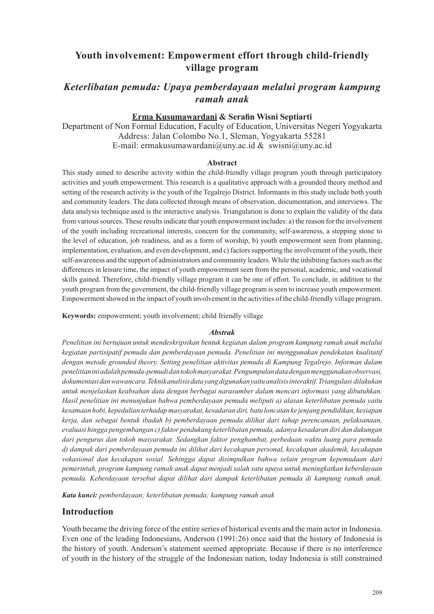# **Youth involvement: Empowerment effort through child-friendly village program**

# *Keterlibatan pemuda: Upaya pemberdayaan melalui program kampung ramah anak*

### **Erma Kusumawardani & Serafin Wisni Septiarti**

Department of Non Formal Education, Faculty of Education, Universitas Negeri Yogyakarta Address: Jalan Colombo No.1, Sleman, Yogyakarta 55281 E-mail: ermakusumawardani@uny.ac.id & swisni@uny.ac.id

#### **Abstract**

This study aimed to describe activity within the child-friendly village program youth through participatory activities and youth empowerment. This research is a qualitative approach with a grounded theory method and setting of the research activity is the youth of the Tegalrejo District. Informants in this study include both youth and community leaders. The data collected through means of observation, documentation, and interviews. The data analysis technique used is the interactive analysis. Triangulation is done to explain the validity of the data from various sources. These results indicate that youth empowerment includes: a) the reason for the involvement of the youth including recreational interests, concern for the community, self-awareness, a stepping stone to the level of education, job readiness, and as a form of worship, b) youth empowerment seen from planning, implementation, evaluation, and even development, and c) factors supporting the involvement of the youth, their self-awareness and the support of administrators and community leaders. While the inhibiting factors such as the differences in leisure time, the impact of youth empowerment seen from the personal, academic, and vocational skills gained. Therefore, child-friendly village program it can be one of effort. To conclude, in addition to the youth program from the government, the child-friendly village program is seen to increase youth empowerment. Empowerment showed in the impact of youth involvement in the activities of the child-friendly village program.

**Keywords:** empowerment; youth involvement; child friendly village

#### *Abstrak*

*Penelitian ini bertujuan untuk mendeskripsikan bentuk kegiatan dalam program kampung ramah anak melalui kegiatan partisipatif pemuda dan pemberdayaan pemuda. Penelitian ini menggunakan pendekatan kualitatif dengan metode grounded theory. Setting penelitian aktivitas pemuda di Kampung Tegalrejo. Informan dalam penelitian ini adalah pemuda-pemudi dan tokoh masyarakat. Pengumpulan data dengan menggunakan observasi, dokumentasi dan wawancara. Teknik analisis data yang digunakan yaitu analisis interaktif. Triangulasi dilakukan untuk menjelaskan keabsahan data dengan berbagai narasumber dalam mencari informasi yang dibutuhkan. Hasil penelitian ini menunjukan bahwa pemberdayaan pemuda meliputi a) alasan keterlibatan pemuda yaitu kesamaan hobi, kepedulian terhadap masyarakat, kesadaran diri, batu loncatan ke jenjang pendidikan, kesiapan kerja, dan sebagai bentuk ibadah b) pemberdayaan pemuda dilihat dari tahap perencanaan, pelaksanaan, evaluasi hingga pengembangan c) faktor pendukung keterlibatan pemuda, adanya kesadaran diri dan dukungan dari pengurus dan tokoh masyarakat. Sedangkan faktor penghambat, perbedaan waktu luang para pemuda d) dampak dari pemberdayaan pemuda ini dilihat dari kecakapan personal, kecakapan akademik, kecakapan vokasional dan kecakapan sosial. Sehingga dapat disimpulkan bahwa selain program kepemudaan dari pemerintah, program kampung ramah anak dapat menjadi salah satu upaya untuk meningkatkan keberdayaan pemuda. Keberdayaan tersebut dapat dilihat dari dampak keterlibatan pemuda di kampung ramah anak.*

*Kata kunci: pemberdayaan; keterlibatan pemuda; kampung ramah anak* 

### **Introduction**

Youth became the driving force of the entire series of historical events and the main actor in Indonesia. Even one of the leading Indonesians, Anderson (1991:26) once said that the history of Indonesia is the history of youth. Anderson's statement seemed appropriate. Because if there is no interference of youth in the history of the struggle of the Indonesian nation, today Indonesia is still constrained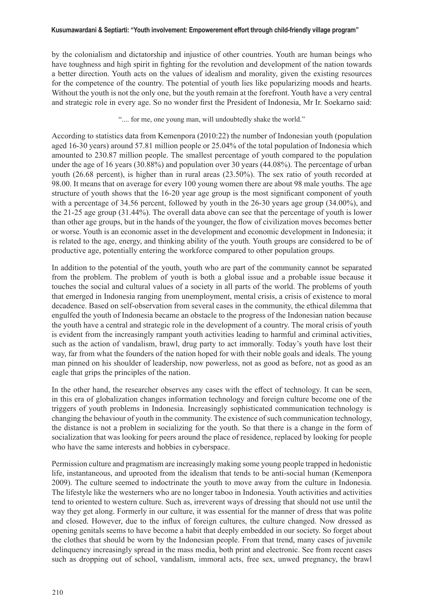#### **Kusumawardani & Septiarti: "Youth involvement: Empowerement effort through child-friendly village program"**

by the colonialism and dictatorship and injustice of other countries. Youth are human beings who have toughness and high spirit in fighting for the revolution and development of the nation towards a better direction. Youth acts on the values of idealism and morality, given the existing resources for the competence of the country. The potential of youth lies like popularizing moods and hearts. Without the youth is not the only one, but the youth remain at the forefront. Youth have a very central and strategic role in every age. So no wonder first the President of Indonesia, Mr Ir. Soekarno said:

".... for me, one young man, will undoubtedly shake the world."

According to statistics data from Kemenpora (2010:22) the number of Indonesian youth (population aged 16-30 years) around 57.81 million people or 25.04% of the total population of Indonesia which amounted to 230.87 million people. The smallest percentage of youth compared to the population under the age of 16 years (30.88%) and population over 30 years (44.08%). The percentage of urban youth (26.68 percent), is higher than in rural areas (23.50%). The sex ratio of youth recorded at 98.00. It means that on average for every 100 young women there are about 98 male youths. The age structure of youth shows that the 16-20 year age group is the most significant component of youth with a percentage of 34.56 percent, followed by youth in the 26-30 years age group (34.00%), and the 21-25 age group (31.44%). The overall data above can see that the percentage of youth is lower than other age groups, but in the hands of the younger, the flow of civilization moves becomes better or worse. Youth is an economic asset in the development and economic development in Indonesia; it is related to the age, energy, and thinking ability of the youth. Youth groups are considered to be of productive age, potentially entering the workforce compared to other population groups.

In addition to the potential of the youth, youth who are part of the community cannot be separated from the problem. The problem of youth is both a global issue and a probable issue because it touches the social and cultural values of a society in all parts of the world. The problems of youth that emerged in Indonesia ranging from unemployment, mental crisis, a crisis of existence to moral decadence. Based on self-observation from several cases in the community, the ethical dilemma that engulfed the youth of Indonesia became an obstacle to the progress of the Indonesian nation because the youth have a central and strategic role in the development of a country. The moral crisis of youth is evident from the increasingly rampant youth activities leading to harmful and criminal activities, such as the action of vandalism, brawl, drug party to act immorally. Today's youth have lost their way, far from what the founders of the nation hoped for with their noble goals and ideals. The young man pinned on his shoulder of leadership, now powerless, not as good as before, not as good as an eagle that grips the principles of the nation.

In the other hand, the researcher observes any cases with the effect of technology. It can be seen, in this era of globalization changes information technology and foreign culture become one of the triggers of youth problems in Indonesia. Increasingly sophisticated communication technology is changing the behaviour of youth in the community. The existence of such communication technology, the distance is not a problem in socializing for the youth. So that there is a change in the form of socialization that was looking for peers around the place of residence, replaced by looking for people who have the same interests and hobbies in cyberspace.

Permission culture and pragmatism are increasingly making some young people trapped in hedonistic life, instantaneous, and uprooted from the idealism that tends to be anti-social human (Kemenpora 2009). The culture seemed to indoctrinate the youth to move away from the culture in Indonesia. The lifestyle like the westerners who are no longer taboo in Indonesia. Youth activities and activities tend to oriented to western culture. Such as, irreverent ways of dressing that should not use until the way they get along. Formerly in our culture, it was essential for the manner of dress that was polite and closed. However, due to the influx of foreign cultures, the culture changed. Now dressed as opening genitals seems to have become a habit that deeply embedded in our society. So forget about the clothes that should be worn by the Indonesian people. From that trend, many cases of juvenile delinquency increasingly spread in the mass media, both print and electronic. See from recent cases such as dropping out of school, vandalism, immoral acts, free sex, unwed pregnancy, the brawl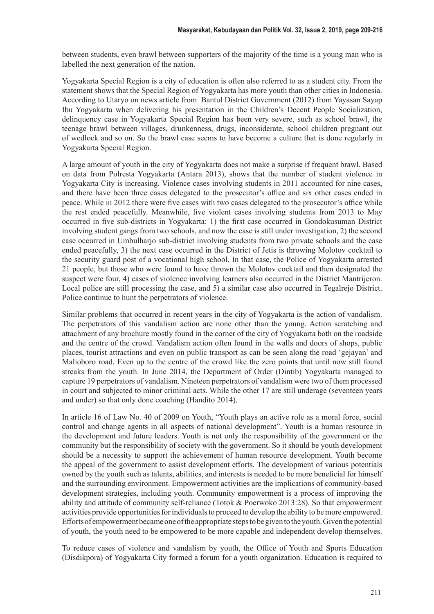between students, even brawl between supporters of the majority of the time is a young man who is labelled the next generation of the nation.

Yogyakarta Special Region is a city of education is often also referred to as a student city. From the statement shows that the Special Region of Yogyakarta has more youth than other cities in Indonesia. According to Utaryo on news article from Bantul District Government (2012) from Yayasan Sayap Ibu Yogyakarta when delivering his presentation in the Children's Decent People Socialization, delinquency case in Yogyakarta Special Region has been very severe, such as school brawl, the teenage brawl between villages, drunkenness, drugs, inconsiderate, school children pregnant out of wedlock and so on. So the brawl case seems to have become a culture that is done regularly in Yogyakarta Special Region.

A large amount of youth in the city of Yogyakarta does not make a surprise if frequent brawl. Based on data from Polresta Yogyakarta (Antara 2013), shows that the number of student violence in Yogyakarta City is increasing. Violence cases involving students in 2011 accounted for nine cases, and there have been three cases delegated to the prosecutor's office and six other cases ended in peace. While in 2012 there were five cases with two cases delegated to the prosecutor's office while the rest ended peacefully. Meanwhile, five violent cases involving students from 2013 to May occurred in five sub-districts in Yogyakarta: 1) the first case occurred in Gondokusuman District involving student gangs from two schools, and now the case is still under investigation, 2) the second case occurred in Umbulharjo sub-district involving students from two private schools and the case ended peacefully, 3) the next case occurred in the District of Jetis is throwing Molotov cocktail to the security guard post of a vocational high school. In that case, the Police of Yogyakarta arrested 21 people, but those who were found to have thrown the Molotov cocktail and then designated the suspect were four, 4) cases of violence involving learners also occurred in the District Mantrijeron. Local police are still processing the case, and 5) a similar case also occurred in Tegalrejo District. Police continue to hunt the perpetrators of violence.

Similar problems that occurred in recent years in the city of Yogyakarta is the action of vandalism. The perpetrators of this vandalism action are none other than the young. Action scratching and attachment of any brochure mostly found in the corner of the city of Yogyakarta both on the roadside and the centre of the crowd. Vandalism action often found in the walls and doors of shops, public places, tourist attractions and even on public transport as can be seen along the road 'gejayan' and Malioboro road. Even up to the centre of the crowd like the zero points that until now still found streaks from the youth. In June 2014, the Department of Order (Dintib) Yogyakarta managed to capture 19 perpetrators of vandalism. Nineteen perpetrators of vandalism were two of them processed in court and subjected to minor criminal acts. While the other 17 are still underage (seventeen years and under) so that only done coaching (Handito 2014).

In article 16 of Law No. 40 of 2009 on Youth, "Youth plays an active role as a moral force, social control and change agents in all aspects of national development". Youth is a human resource in the development and future leaders. Youth is not only the responsibility of the government or the community but the responsibility of society with the government. So it should be youth development should be a necessity to support the achievement of human resource development. Youth become the appeal of the government to assist development efforts. The development of various potentials owned by the youth such as talents, abilities, and interests is needed to be more beneficial for himself and the surrounding environment. Empowerment activities are the implications of community-based development strategies, including youth. Community empowerment is a process of improving the ability and attitude of community self-reliance (Totok & Poerwoko 2013:28). So that empowerment activities provide opportunities for individuals to proceed to develop the ability to be more empowered. Efforts of empowerment became one of the appropriate steps to be given to the youth. Given the potential of youth, the youth need to be empowered to be more capable and independent develop themselves.

To reduce cases of violence and vandalism by youth, the Office of Youth and Sports Education (Disdikpora) of Yogyakarta City formed a forum for a youth organization. Education is required to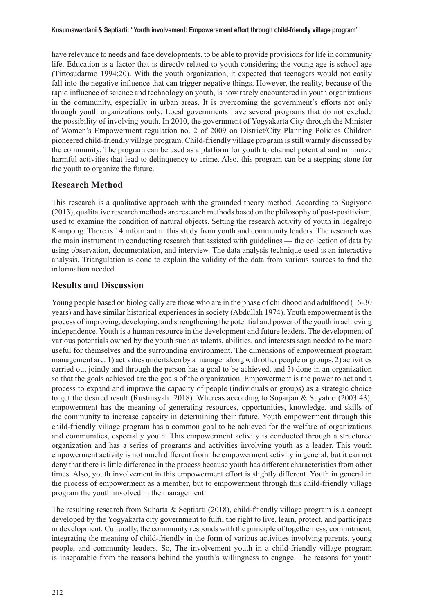#### **Kusumawardani & Septiarti: "Youth involvement: Empowerement effort through child-friendly village program"**

have relevance to needs and face developments, to be able to provide provisions for life in community life. Education is a factor that is directly related to youth considering the young age is school age (Tirtosudarmo 1994:20). With the youth organization, it expected that teenagers would not easily fall into the negative influence that can trigger negative things. However, the reality, because of the rapid influence of science and technology on youth, is now rarely encountered in youth organizations in the community, especially in urban areas. It is overcoming the government's efforts not only through youth organizations only. Local governments have several programs that do not exclude the possibility of involving youth. In 2010, the government of Yogyakarta City through the Minister of Women's Empowerment regulation no. 2 of 2009 on District/City Planning Policies Children pioneered child-friendly village program. Child-friendly village program is still warmly discussed by the community. The program can be used as a platform for youth to channel potential and minimize harmful activities that lead to delinquency to crime. Also, this program can be a stepping stone for the youth to organize the future.

### **Research Method**

This research is a qualitative approach with the grounded theory method. According to Sugiyono (2013), qualitative research methods are research methods based on the philosophy of post-positivism, used to examine the condition of natural objects. Setting the research activity of youth in Tegalrejo Kampong. There is 14 informant in this study from youth and community leaders. The research was the main instrument in conducting research that assisted with guidelines — the collection of data by using observation, documentation, and interview. The data analysis technique used is an interactive analysis. Triangulation is done to explain the validity of the data from various sources to find the information needed.

### **Results and Discussion**

Young people based on biologically are those who are in the phase of childhood and adulthood (16-30 years) and have similar historical experiences in society (Abdullah 1974). Youth empowerment is the process of improving, developing, and strengthening the potential and power of the youth in achieving independence. Youth is a human resource in the development and future leaders. The development of various potentials owned by the youth such as talents, abilities, and interests saga needed to be more useful for themselves and the surrounding environment. The dimensions of empowerment program management are: 1) activities undertaken by a manager along with other people or groups, 2) activities carried out jointly and through the person has a goal to be achieved, and 3) done in an organization so that the goals achieved are the goals of the organization. Empowerment is the power to act and a process to expand and improve the capacity of people (individuals or groups) as a strategic choice to get the desired result (Rustinsyah 2018). Whereas according to Suparjan & Suyatno (2003:43), empowerment has the meaning of generating resources, opportunities, knowledge, and skills of the community to increase capacity in determining their future. Youth empowerment through this child-friendly village program has a common goal to be achieved for the welfare of organizations and communities, especially youth. This empowerment activity is conducted through a structured organization and has a series of programs and activities involving youth as a leader. This youth empowerment activity is not much different from the empowerment activity in general, but it can not deny that there is little difference in the process because youth has different characteristics from other times. Also, youth involvement in this empowerment effort is slightly different. Youth in general in the process of empowerment as a member, but to empowerment through this child-friendly village program the youth involved in the management.

The resulting research from Suharta & Septiarti (2018), child-friendly village program is a concept developed by the Yogyakarta city government to fulfil the right to live, learn, protect, and participate in development. Culturally, the community responds with the principle of togetherness, commitment, integrating the meaning of child-friendly in the form of various activities involving parents, young people, and community leaders. So, The involvement youth in a child-friendly village program is inseparable from the reasons behind the youth's willingness to engage. The reasons for youth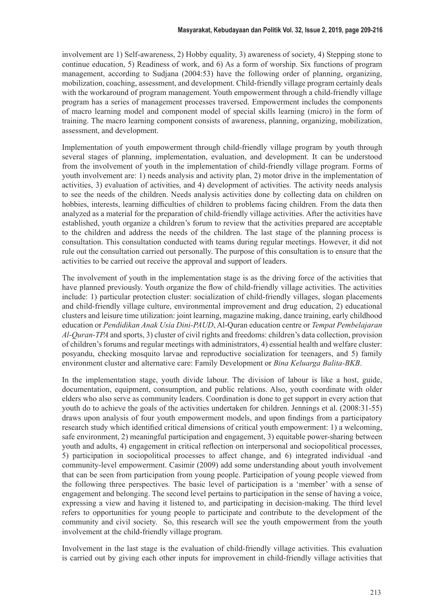involvement are 1) Self-awareness, 2) Hobby equality, 3) awareness of society, 4) Stepping stone to continue education, 5) Readiness of work, and 6) As a form of worship. Six functions of program management, according to Sudjana (2004:53) have the following order of planning, organizing, mobilization, coaching, assessment, and development. Child-friendly village program certainly deals with the workaround of program management. Youth empowerment through a child-friendly village program has a series of management processes traversed. Empowerment includes the components of macro learning model and component model of special skills learning (micro) in the form of training. The macro learning component consists of awareness, planning, organizing, mobilization, assessment, and development.

Implementation of youth empowerment through child-friendly village program by youth through several stages of planning, implementation, evaluation, and development. It can be understood from the involvement of youth in the implementation of child-friendly village program. Forms of youth involvement are: 1) needs analysis and activity plan, 2) motor drive in the implementation of activities, 3) evaluation of activities, and 4) development of activities. The activity needs analysis to see the needs of the children. Needs analysis activities done by collecting data on children on hobbies, interests, learning difficulties of children to problems facing children. From the data then analyzed as a material for the preparation of child-friendly village activities. After the activities have established, youth organize a children's forum to review that the activities prepared are acceptable to the children and address the needs of the children. The last stage of the planning process is consultation. This consultation conducted with teams during regular meetings. However, it did not rule out the consultation carried out personally. The purpose of this consultation is to ensure that the activities to be carried out receive the approval and support of leaders.

The involvement of youth in the implementation stage is as the driving force of the activities that have planned previously. Youth organize the flow of child-friendly village activities. The activities include: 1) particular protection cluster: socialization of child-friendly villages, slogan placements and child-friendly village culture, environmental improvement and drug education, 2) educational clusters and leisure time utilization: joint learning, magazine making, dance training, early childhood education or *Pendidikan Anak Usia Dini-PAUD*, Al-Quran education centre or *Tempat Pembelajaran Al-Quran-TPA* and sports, 3) cluster of civil rights and freedoms: children's data collection, provision of children's forums and regular meetings with administrators, 4) essential health and welfare cluster: posyandu, checking mosquito larvae and reproductive socialization for teenagers, and 5) family environment cluster and alternative care: Family Development or *Bina Keluarga Balita-BKB*.

In the implementation stage, youth divide labour. The division of labour is like a host, guide, documentation, equipment, consumption, and public relations. Also, youth coordinate with older elders who also serve as community leaders. Coordination is done to get support in every action that youth do to achieve the goals of the activities undertaken for children. Jennings et al. (2008:31-55) draws upon analysis of four youth empowerment models, and upon findings from a participatory research study which identified critical dimensions of critical youth empowerment: 1) a welcoming, safe environment, 2) meaningful participation and engagement, 3) equitable power-sharing between youth and adults, 4) engagement in critical reflection on interpersonal and sociopolitical processes, 5) participation in sociopolitical processes to affect change, and 6) integrated individual -and community-level empowerment. Casimir (2009) add some understanding about youth involvement that can be seen from participation from young people. Participation of young people viewed from the following three perspectives. The basic level of participation is a 'member' with a sense of engagement and belonging. The second level pertains to participation in the sense of having a voice, expressing a view and having it listened to, and participating in decision-making. The third level refers to opportunities for young people to participate and contribute to the development of the community and civil society. So, this research will see the youth empowerment from the youth involvement at the child-friendly village program.

Involvement in the last stage is the evaluation of child-friendly village activities. This evaluation is carried out by giving each other inputs for improvement in child-friendly village activities that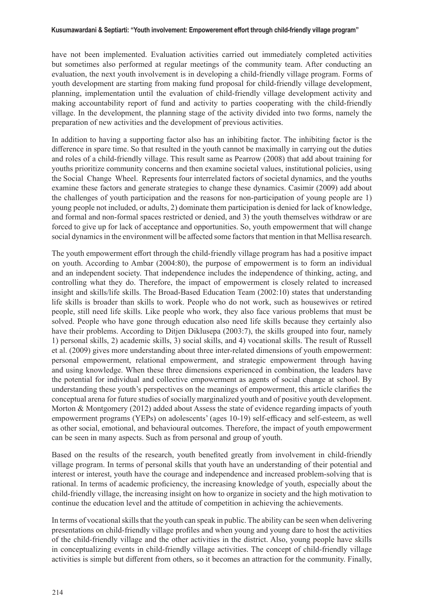have not been implemented. Evaluation activities carried out immediately completed activities but sometimes also performed at regular meetings of the community team. After conducting an evaluation, the next youth involvement is in developing a child-friendly village program. Forms of youth development are starting from making fund proposal for child-friendly village development, planning, implementation until the evaluation of child-friendly village development activity and making accountability report of fund and activity to parties cooperating with the child-friendly village. In the development, the planning stage of the activity divided into two forms, namely the preparation of new activities and the development of previous activities.

In addition to having a supporting factor also has an inhibiting factor. The inhibiting factor is the difference in spare time. So that resulted in the youth cannot be maximally in carrying out the duties and roles of a child-friendly village. This result same as Pearrow (2008) that add about training for youths prioritize community concerns and then examine societal values, institutional policies, using the Social Change Wheel. Represents four interrelated factors of societal dynamics, and the youths examine these factors and generate strategies to change these dynamics. Casimir (2009) add about the challenges of youth participation and the reasons for non-participation of young people are 1) young people not included, or adults, 2) dominate them participation is denied for lack of knowledge, and formal and non-formal spaces restricted or denied, and 3) the youth themselves withdraw or are forced to give up for lack of acceptance and opportunities. So, youth empowerment that will change social dynamics in the environment will be affected some factors that mention in that Mellisa research.

The youth empowerment effort through the child-friendly village program has had a positive impact on youth. According to Ambar (2004:80), the purpose of empowerment is to form an individual and an independent society. That independence includes the independence of thinking, acting, and controlling what they do. Therefore, the impact of empowerment is closely related to increased insight and skills/life skills. The Broad-Based Education Team (2002:10) states that understanding life skills is broader than skills to work. People who do not work, such as housewives or retired people, still need life skills. Like people who work, they also face various problems that must be solved. People who have gone through education also need life skills because they certainly also have their problems. According to Ditjen Diklusepa (2003:7), the skills grouped into four, namely 1) personal skills, 2) academic skills, 3) social skills, and 4) vocational skills. The result of Russell et al. (2009) gives more understanding about three inter-related dimensions of youth empowerment: personal empowerment, relational empowerment, and strategic empowerment through having and using knowledge. When these three dimensions experienced in combination, the leaders have the potential for individual and collective empowerment as agents of social change at school. By understanding these youth's perspectives on the meanings of empowerment, this article clarifies the conceptual arena for future studies of socially marginalized youth and of positive youth development. Morton & Montgomery (2012) added about Assess the state of evidence regarding impacts of youth empowerment programs (YEPs) on adolescents' (ages 10-19) self-efficacy and self-esteem, as well as other social, emotional, and behavioural outcomes. Therefore, the impact of youth empowerment can be seen in many aspects. Such as from personal and group of youth.

Based on the results of the research, youth benefited greatly from involvement in child-friendly village program. In terms of personal skills that youth have an understanding of their potential and interest or interest, youth have the courage and independence and increased problem-solving that is rational. In terms of academic proficiency, the increasing knowledge of youth, especially about the child-friendly village, the increasing insight on how to organize in society and the high motivation to continue the education level and the attitude of competition in achieving the achievements.

In terms of vocational skills that the youth can speak in public. The ability can be seen when delivering presentations on child-friendly village profiles and when young and young dare to host the activities of the child-friendly village and the other activities in the district. Also, young people have skills in conceptualizing events in child-friendly village activities. The concept of child-friendly village activities is simple but different from others, so it becomes an attraction for the community. Finally,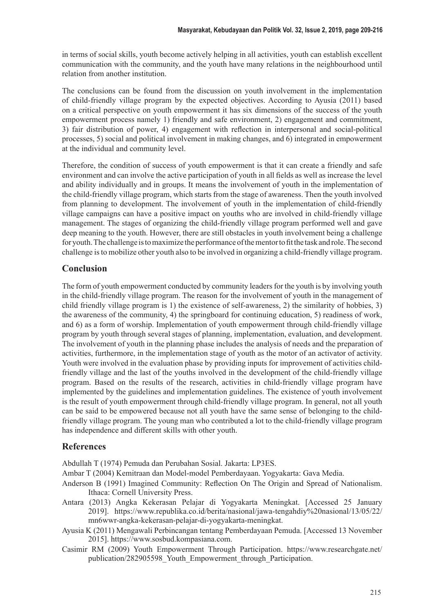in terms of social skills, youth become actively helping in all activities, youth can establish excellent communication with the community, and the youth have many relations in the neighbourhood until relation from another institution.

The conclusions can be found from the discussion on youth involvement in the implementation of child-friendly village program by the expected objectives. According to Ayusia (2011) based on a critical perspective on youth empowerment it has six dimensions of the success of the youth empowerment process namely 1) friendly and safe environment, 2) engagement and commitment, 3) fair distribution of power, 4) engagement with reflection in interpersonal and social-political processes, 5) social and political involvement in making changes, and 6) integrated in empowerment at the individual and community level.

Therefore, the condition of success of youth empowerment is that it can create a friendly and safe environment and can involve the active participation of youth in all fields as well as increase the level and ability individually and in groups. It means the involvement of youth in the implementation of the child-friendly village program, which starts from the stage of awareness. Then the youth involved from planning to development. The involvement of youth in the implementation of child-friendly village campaigns can have a positive impact on youths who are involved in child-friendly village management. The stages of organizing the child-friendly village program performed well and gave deep meaning to the youth. However, there are still obstacles in youth involvement being a challenge for youth. The challenge is to maximize the performance of the mentor to fit the task and role. The second challenge is to mobilize other youth also to be involved in organizing a child-friendly village program.

## **Conclusion**

The form of youth empowerment conducted by community leaders for the youth is by involving youth in the child-friendly village program. The reason for the involvement of youth in the management of child friendly village program is 1) the existence of self-awareness, 2) the similarity of hobbies, 3) the awareness of the community, 4) the springboard for continuing education, 5) readiness of work, and 6) as a form of worship. Implementation of youth empowerment through child-friendly village program by youth through several stages of planning, implementation, evaluation, and development. The involvement of youth in the planning phase includes the analysis of needs and the preparation of activities, furthermore, in the implementation stage of youth as the motor of an activator of activity. Youth were involved in the evaluation phase by providing inputs for improvement of activities childfriendly village and the last of the youths involved in the development of the child-friendly village program. Based on the results of the research, activities in child-friendly village program have implemented by the guidelines and implementation guidelines. The existence of youth involvement is the result of youth empowerment through child-friendly village program. In general, not all youth can be said to be empowered because not all youth have the same sense of belonging to the childfriendly village program. The young man who contributed a lot to the child-friendly village program has independence and different skills with other youth.

## **References**

Abdullah T (1974) Pemuda dan Perubahan Sosial. Jakarta: LP3ES.

Ambar T (2004) Kemitraan dan Model-model Pemberdayaan. Yogyakarta: Gava Media.

- Anderson B (1991) Imagined Community: Reflection On The Origin and Spread of Nationalism. Ithaca: Cornell University Press.
- Antara (2013) Angka Kekerasan Pelajar di Yogyakarta Meningkat. [Accessed 25 January 2019]. https://www.republika.co.id/berita/nasional/jawa-tengahdiy%20nasional/13/05/22/ mn6wwr-angka-kekerasan-pelajar-di-yogyakarta-meningkat.
- Ayusia K (2011) Mengawali Perbincangan tentang Pemberdayaan Pemuda. [Accessed 13 November 2015]. https://www.sosbud.kompasiana.com.
- Casimir RM (2009) Youth Empowerment Through Participation. https://www.researchgate.net/ publication/282905598\_Youth\_Empowerment\_through\_Participation.